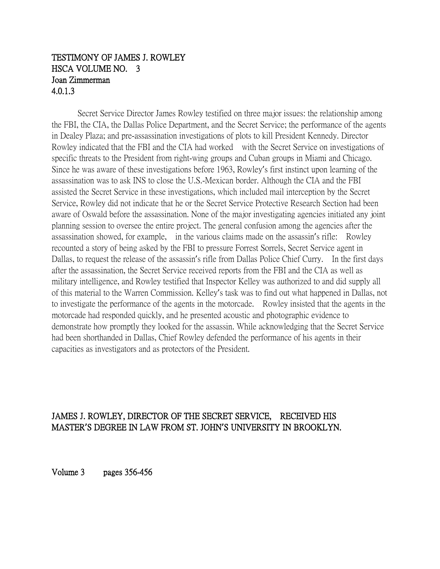## TESTIMONY OF JAMES J. ROWLEY HSCA VOLUME NO. 3 Joan Zimmerman 4.0.1.3

Secret Service Director James Rowley testified on three major issues: the relationship among the FBI, the CIA, the Dallas Police Department, and the Secret Service; the performance of the agents in Dealey Plaza; and pre-assassination investigations of plots to kill President Kennedy. Director Rowley indicated that the FBI and the CIA had worked with the Secret Service on investigations of specific threats to the President from right-wing groups and Cuban groups in Miami and Chicago. Since he was aware of these investigations before 1963, Rowley's first instinct upon learning of the assassination was to ask INS to close the U.S.-Mexican border. Although the CIA and the FBI assisted the Secret Service in these investigations, which included mail interception by the Secret Service, Rowley did not indicate that he or the Secret Service Protective Research Section had been aware of Oswald before the assassination. None of the major investigating agencies initiated any joint planning session to oversee the entire project. The general confusion among the agencies after the assassination showed, for example, in the various claims made on the assassin's rifle: Rowley recounted a story of being asked by the FBI to pressure Forrest Sorrels, Secret Service agent in Dallas, to request the release of the assassin's rifle from Dallas Police Chief Curry. In the first days after the assassination, the Secret Service received reports from the FBI and the CIA as well as military intelligence, and Rowley testified that Inspector Kelley was authorized to and did supply all of this material to the Warren Commission. Kelley's task was to find out what happened in Dallas, not to investigate the performance of the agents in the motorcade. Rowley insisted that the agents in the motorcade had responded quickly, and he presented acoustic and photographic evidence to demonstrate how promptly they looked for the assassin. While acknowledging that the Secret Service had been shorthanded in Dallas, Chief Rowley defended the performance of his agents in their capacities as investigators and as protectors of the President.

## JAMES J. ROWLEY, DIRECTOR OF THE SECRET SERVICE, RECEIVED HIS MASTER**'**S DEGREE IN LAW FROM ST. JOHN**'**S UNIVERSITY IN BROOKLYN.

Volume 3 pages 356-456